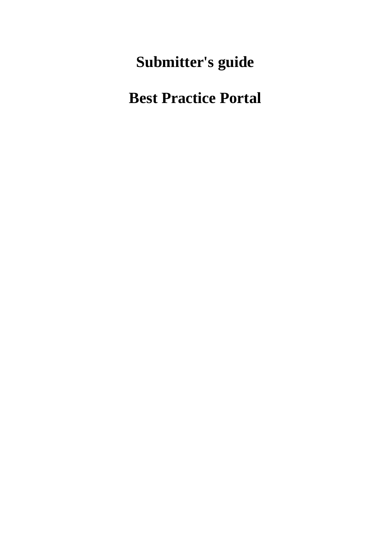**Submitter's guide**

**Best Practice Portal**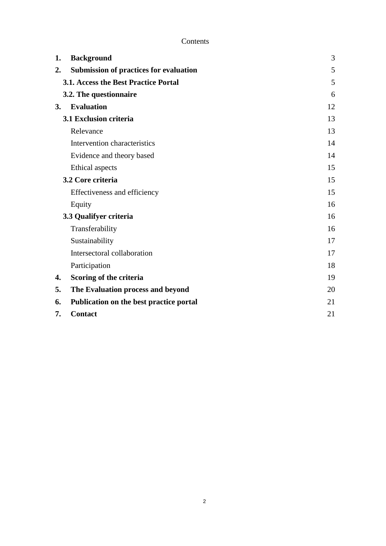| 1.                | <b>Background</b>                             | 3  |
|-------------------|-----------------------------------------------|----|
| 2.                | <b>Submission of practices for evaluation</b> | 5  |
|                   | 3.1. Access the Best Practice Portal          | 5  |
|                   | 3.2. The questionnaire                        | 6  |
| 3.                | <b>Evaluation</b>                             | 12 |
|                   | 3.1 Exclusion criteria                        | 13 |
|                   | Relevance                                     | 13 |
|                   | Intervention characteristics                  | 14 |
|                   | Evidence and theory based                     | 14 |
|                   | Ethical aspects                               | 15 |
| 3.2 Core criteria |                                               | 15 |
|                   | Effectiveness and efficiency                  | 15 |
|                   | Equity                                        | 16 |
|                   | 3.3 Qualifyer criteria                        | 16 |
|                   | Transferability                               | 16 |
|                   | Sustainability                                | 17 |
|                   | Intersectoral collaboration                   | 17 |
|                   | Participation                                 | 18 |
| 4.                | Scoring of the criteria                       | 19 |
| 5.                | The Evaluation process and beyond             | 20 |
| 6.                | Publication on the best practice portal       | 21 |
| 7.                | <b>Contact</b>                                | 21 |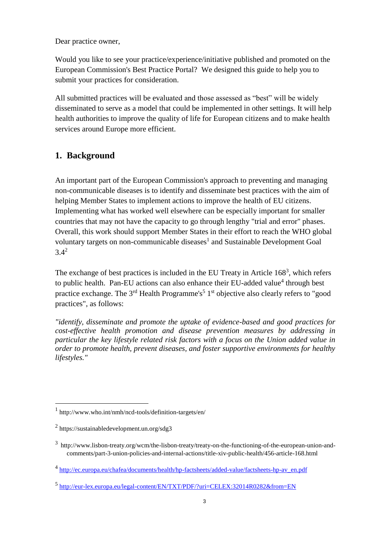Dear practice owner,

Would you like to see your practice/experience/initiative published and promoted on the European Commission's Best Practice Portal? We designed this guide to help you to submit your practices for consideration.

All submitted practices will be evaluated and those assessed as "best" will be widely disseminated to serve as a model that could be implemented in other settings. It will help health authorities to improve the quality of life for European citizens and to make health services around Europe more efficient.

# <span id="page-2-0"></span>**1. Background**

An important part of the European Commission's approach to preventing and managing non-communicable diseases is to identify and disseminate best practices with the aim of helping Member States to implement actions to improve the health of EU citizens. Implementing what has worked well elsewhere can be especially important for smaller countries that may not have the capacity to go through lengthy "trial and error" phases. Overall, this work should support Member States in their effort to reach the WHO global voluntary targets on non-communicable diseases<sup>1</sup> and Sustainable Development Goal  $3.4^{2}$ 

The exchange of best practices is included in the EU Treaty in Article  $168<sup>3</sup>$ , which refers to public health. Pan-EU actions can also enhance their EU-added value<sup>4</sup> through best practice exchange. The  $3<sup>rd</sup>$  Health Programme's<sup>5</sup> 1<sup>st</sup> objective also clearly refers to "good practices", as follows:

*"identify, disseminate and promote the uptake of evidence-based and good practices for cost-effective health promotion and disease prevention measures by addressing in particular the key lifestyle related risk factors with a focus on the Union added value in order to promote health, prevent diseases, and foster supportive environments for healthy lifestyles."* 

1

4 [http://ec.europa.eu/chafea/documents/health/hp-factsheets/added-value/factsheets-hp-av\\_en.pdf](http://ec.europa.eu/chafea/documents/health/hp-factsheets/added-value/factsheets-hp-av_en.pdf)

<sup>1</sup> http://www.who.int/nmh/ncd-tools/definition-targets/en/

<sup>2</sup> https://sustainabledevelopment.un.org/sdg3

<sup>&</sup>lt;sup>3</sup> http://www.lisbon-treaty.org/wcm/the-lisbon-treaty/treaty-on-the-functioning-of-the-european-union-andcomments/part-3-union-policies-and-internal-actions/title-xiv-public-health/456-article-168.html

<sup>5</sup> <http://eur-lex.europa.eu/legal-content/EN/TXT/PDF/?uri=CELEX:32014R0282&from=EN>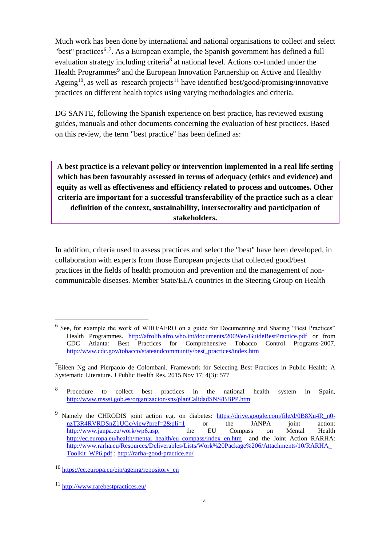Much work has been done by international and national organisations to collect and select "best" practices<sup>6</sup>-<sup>7</sup>. As a European example, the Spanish government has defined a full evaluation strategy including criteria<sup>8</sup> at national level. Actions co-funded under the Health Programmes<sup>9</sup> and the European Innovation Partnership on Active and Healthy Ageing<sup>10</sup>, as well as research projects<sup>11</sup> have identified best/good/promising/innovative practices on different health topics using varying methodologies and criteria.

DG SANTE, following the Spanish experience on best practice, has reviewed existing guides, manuals and other documents concerning the evaluation of best practices. Based on this review, the term "best practice" has been defined as:

**A best practice is a relevant policy or intervention implemented in a real life setting which has been favourably assessed in terms of adequacy (ethics and evidence) and equity as well as effectiveness and efficiency related to process and outcomes. Other criteria are important for a successful transferability of the practice such as a clear definition of the context, sustainability, intersectorality and participation of stakeholders.**

In addition, criteria used to assess practices and select the "best" have been developed, in collaboration with experts from those European projects that collected good/best practices in the fields of health promotion and prevention and the management of noncommunicable diseases. Member State/EEA countries in the Steering Group on Health

1

<sup>&</sup>lt;sup>6</sup> See, for example the work of WHO/AFRO on a guide for Documenting and Sharing "Best Practices" Health Programmes. <http://afrolib.afro.who.int/documents/2009/en/GuideBestPractice.pdf> or from CDC Atlanta: Best Practices for Comprehensive Tobacco Control Programs-2007. [http://www.cdc.gov/tobacco/stateandcommunity/best\\_practices/index.htm](http://www.cdc.gov/tobacco/stateandcommunity/best_practices/index.htm)

 $^7$ [Eileen Ng](https://www.ncbi.nlm.nih.gov/pubmed/?term=Ng%20E%5BAuthor%5D&cauthor=true&cauthor_uid=26753159) and [Pierpaolo de Colombani.](https://www.ncbi.nlm.nih.gov/pubmed/?term=de%20Colombani%20P%5BAuthor%5D&cauthor=true&cauthor_uid=26753159) Framework for Selecting Best Practices in Public Health: A Systematic Literature. [J Public Health Res.](https://www.ncbi.nlm.nih.gov/pmc/articles/PMC4693338/) 2015 Nov 17; 4(3): 577

<sup>8</sup> Procedure to collect best practices in the national health system in Spain, <http://www.msssi.gob.es/organizacion/sns/planCalidadSNS/BBPP.htm>

<sup>&</sup>lt;sup>9</sup> Namely the CHRODIS joint action e.g. on diabetes: [https://drive.google.com/file/d/0B8Xu4R\\_n0](https://drive.google.com/file/d/0B8Xu4R_n0-nzT3R4RVRDSnZ1UGc/view?pref=2&pli=1) [nzT3R4RVRDSnZ1UGc/view?pref=2&pli=1](https://drive.google.com/file/d/0B8Xu4R_n0-nzT3R4RVRDSnZ1UGc/view?pref=2&pli=1) or the JANPA joint action: [http://www.janpa.eu/work/wp6.asp,](http://www.janpa.eu/work/wp6.asp) the EU Compass on Mental Health [http://ec.europa.eu/health/mental\\_health/eu\\_compass/index\\_en.htm](http://ec.europa.eu/health/mental_health/eu_compass/index_en.htm) and the Joint Action RARHA: [http://www.rarha.eu/Resources/Deliverables/Lists/Work%20Package%206/Attachments/10/RARHA\\_](http://www.rarha.eu/Resources/Deliverables/Lists/Work%20Package%206/Attachments/10/RARHA_Toolkit_WP6.pdf) [Toolkit\\_WP6.pdf](http://www.rarha.eu/Resources/Deliverables/Lists/Work%20Package%206/Attachments/10/RARHA_Toolkit_WP6.pdf) ;<http://rarha-good-practice.eu/>

<sup>10</sup> [https://ec.europa.eu/eip/ageing/repository\\_en](https://ec.europa.eu/eip/ageing/repository_en)

<sup>11</sup> <http://www.rarebestpractices.eu/>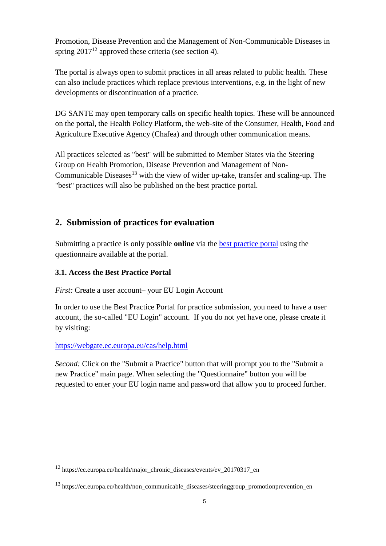Promotion, Disease Prevention and the Management of Non-Communicable Diseases in spring  $2017^{12}$  approved these criteria (see section 4).

The portal is always open to submit practices in all areas related to public health. These can also include practices which replace previous interventions, e.g. in the light of new developments or discontinuation of a practice.

DG SANTE may open temporary calls on specific health topics. These will be announced on the portal, the Health Policy Platform, the web-site of the Consumer, Health, Food and Agriculture Executive Agency (Chafea) and through other communication means.

All practices selected as "best" will be submitted to Member States via the Steering Group on Health Promotion, Disease Prevention and Management of Non-Communicable Diseases<sup>13</sup> with the view of wider up-take, transfer and scaling-up. The "best" practices will also be published on the best practice portal.

# <span id="page-4-0"></span>**2. Submission of practices for evaluation**

Submitting a practice is only possible **online** via the [best practice portal](https://webgate.ec.europa.eu/dyna/bp-portal/index.cfm) using the questionnaire available at the portal.

# <span id="page-4-1"></span>**3.1. Access the Best Practice Portal**

*First:* Create a user account– your EU Login Account

In order to use the Best Practice Portal for practice submission, you need to have a user account, the so-called "EU Login" account. If you do not yet have one, please create it by visiting:

### <https://webgate.ec.europa.eu/cas/help.html>

1

*Second:* Click on the "Submit a Practice" button that will prompt you to the "Submit a new Practice" main page. When selecting the "Questionnaire" button you will be requested to enter your EU login name and password that allow you to proceed further.

<sup>12</sup> https://ec.europa.eu/health/major\_chronic\_diseases/events/ev\_20170317\_en

<sup>&</sup>lt;sup>13</sup> https://ec.europa.eu/health/non\_communicable\_diseases/steeringgroup\_promotionprevention\_en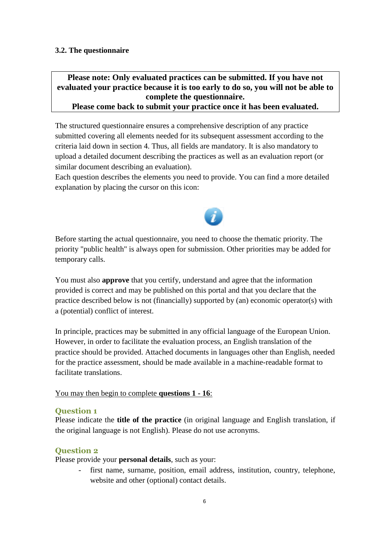#### <span id="page-5-0"></span>**3.2. The questionnaire**

# **Please note: Only evaluated practices can be submitted. If you have not evaluated your practice because it is too early to do so, you will not be able to complete the questionnaire.**

**Please come back to submit your practice once it has been evaluated.** 

The structured questionnaire ensures a comprehensive description of any practice submitted covering all elements needed for its subsequent assessment according to the criteria laid down in section 4. Thus, all fields are mandatory. It is also mandatory to upload a detailed document describing the practices as well as an evaluation report (or similar document describing an evaluation).

Each question describes the elements you need to provide. You can find a more detailed explanation by placing the cursor on this icon:



Before starting the actual questionnaire, you need to choose the thematic priority. The priority "public health" is always open for submission. Other priorities may be added for temporary calls.

You must also **approve** that you certify, understand and agree that the information provided is correct and may be published on this portal and that you declare that the practice described below is not (financially) supported by (an) economic operator(s) with a (potential) conflict of interest.

In principle, practices may be submitted in any official language of the European Union. However, in order to facilitate the evaluation process, an English translation of the practice should be provided. Attached documents in languages other than English, needed for the practice assessment, should be made available in a machine-readable format to facilitate translations.

#### You may then begin to complete **questions 1 - 16**:

#### **Question 1**

Please indicate the **title of the practice** (in original language and English translation, if the original language is not English). Please do not use acronyms.

### **Question 2**

Please provide your **personal details**, such as your:

first name, surname, position, email address, institution, country, telephone, website and other (optional) contact details.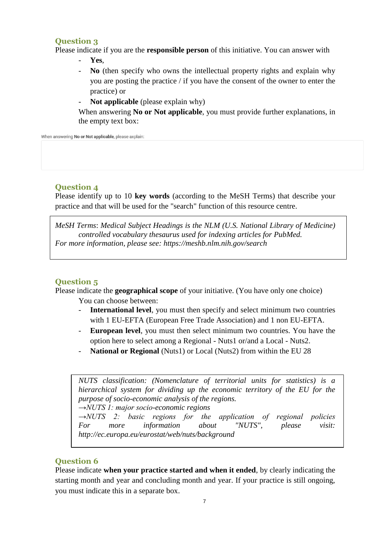#### **Question 3**

Please indicate if you are the **responsible person** of this initiative. You can answer with

- **Yes**,
- **No** (then specify who owns the intellectual property rights and explain why you are posting the practice / if you have the consent of the owner to enter the practice) or
- **Not applicable** (please explain why)

When answering **No or Not applicable**, you must provide further explanations, in the empty text box:

When answering No or Not applicable, please axplain:

# **Question 4**

Please identify up to 10 **key words** (according to the MeSH Terms) that describe your practice and that will be used for the "search" function of this resource centre.

*MeSH Terms*: *Medical Subject Headings is the NLM (U.S. National Library of Medicine) controlled vocabulary thesaurus used for indexing articles for PubMed. For more information, please see: https://meshb.nlm.nih.gov/search*

### **Question 5**

Please indicate the **geographical scope** of your initiative. (You have only one choice)

You can choose between:

- **International level**, you must then specify and select minimum two countries with 1 EU-EFTA (European Free Trade Association) and 1 non EU-EFTA.
- **European level**, you must then select minimum two countries. You have the option here to select among a Regional - Nuts1 or/and a Local - Nuts2.
- **National or Regional** (Nuts1) or Local (Nuts2) from within the EU 28

```
NUTS classification: (Nomenclature of territorial units for statistics) is a 
hierarchical system for dividing up the economic territory of the EU for the 
purpose of socio-economic analysis of the regions. 
→NUTS 1: major socio-economic regions
→NUTS 2: basic regions for the application of regional policies
For more information about "NUTS", please visit: 
http://ec.europa.eu/eurostat/web/nuts/background
```
### **Question 6**

Please indicate **when your practice started and when it ended**, by clearly indicating the starting month and year and concluding month and year. If your practice is still ongoing, you must indicate this in a separate box.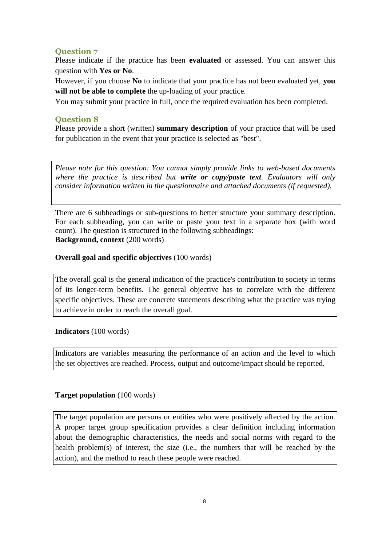## **Question 7**

Please indicate if the practice has been **evaluated** or assessed. You can answer this question with **Yes or No**.

However, if you choose **No** to indicate that your practice has not been evaluated yet, **you will not be able to complete** the up-loading of your practice.

You may submit your practice in full, once the required evaluation has been completed.

### **Question 8**

Please provide a short (written) **summary description** of your practice that will be used for publication in the event that your practice is selected as "best".

*Please note for this question: You cannot simply provide links to web-based documents where the practice is described but write or copy/paste text. Evaluators will only consider information written in the questionnaire and attached documents (if requested).*

There are 6 subheadings or sub-questions to better structure your summary description. For each subheading, you can write or paste your text in a separate box (with word count). The question is structured in the following subheadings: **Background, context** (200 words)

### **Overall goal and specific objectives** (100 words)

The overall goal is the general indication of the practice's contribution to society in terms of its longer-term benefits. The general objective has to correlate with the different specific objectives. These are concrete statements describing what the practice was trying to achieve in order to reach the overall goal.

#### **Indicators** (100 words)

Indicators are variables measuring the performance of an action and the level to which the set objectives are reached. Process, output and outcome/impact should be reported.

### **Target population** (100 words)

The target population are persons or entities who were positively affected by the action. A proper target group specification provides a clear definition including information about the demographic characteristics, the needs and social norms with regard to the health problem(s) of interest, the size (i.e., the numbers that will be reached by the action), and the method to reach these people were reached.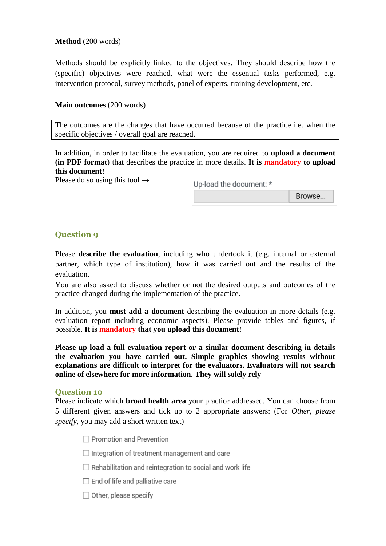#### **Method** (200 words)

Methods should be explicitly linked to the objectives. They should describe how the (specific) objectives were reached, what were the essential tasks performed, e.g. intervention protocol, survey methods, panel of experts, training development, etc.

#### **Main outcomes** (200 words)

The outcomes are the changes that have occurred because of the practice i.e. when the specific objectives / overall goal are reached.

In addition, in order to facilitate the evaluation, you are required to **upload a document (in PDF format**) that describes the practice in more details. **It is mandatory to upload this document!**

Please do so using this tool  $\rightarrow$ 

Up-load the document: \*

Browse...

## **Question 9**

Please **describe the evaluation**, including who undertook it (e.g. internal or external partner, which type of institution), how it was carried out and the results of the evaluation.

You are also asked to discuss whether or not the desired outputs and outcomes of the practice changed during the implementation of the practice.

In addition, you **must add a document** describing the evaluation in more details (e.g. evaluation report including economic aspects). Please provide tables and figures, if possible. **It is mandatory that you upload this document!**

**Please up-load a full evaluation report or a similar document describing in details the evaluation you have carried out. Simple graphics showing results without explanations are difficult to interpret for the evaluators. Evaluators will not search online of elsewhere for more information. They will solely rely** 

#### **Question 10**

Please indicate which **broad health area** your practice addressed. You can choose from 5 different given answers and tick up to 2 appropriate answers: (For *Other, please specify*, you may add a short written text)

 $\Box$  Promotion and Prevention

 $\Box$  Integration of treatment management and care

 $\Box$  Rehabilitation and reintegration to social and work life

 $\Box$  End of life and palliative care

 $\Box$  Other, please specify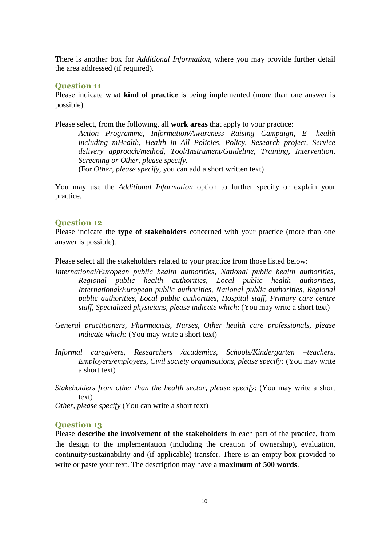There is another box for *Additional Information*, where you may provide further detail the area addressed (if required).

#### **Question 11**

Please indicate what **kind of practice** is being implemented (more than one answer is possible).

Please select, from the following, all **work areas** that apply to your practice:

*Action Programme, Information/Awareness Raising Campaign, E- health including mHealth, Health in All Policies, Policy, Research project, Service delivery approach/method, Tool/Instrument/Guideline, Training, Intervention, Screening or Other, please specify.* 

(For *Other, please specify*, you can add a short written text)

You may use the *Additional Information* option to further specify or explain your practice.

#### **Question 12**

Please indicate the **type of stakeholders** concerned with your practice (more than one answer is possible).

Please select all the stakeholders related to your practice from those listed below:

- *International/European public health authorities, National public health authorities, Regional public health authorities, Local public health authorities, International/European public authorities, National public authorities, Regional public authorities, Local public authorities, Hospital staff, Primary care centre staff, Specialized physicians, please indicate which*: (You may write a short text)
- *General practitioners, Pharmacists, Nurses, Other health care professionals, please indicate which:* (You may write a short text)
- *Informal caregivers, Researchers /academics, Schools/Kindergarten –teachers, Employers/employees, Civil society organisations, please specify:* (You may write a short text)

*Stakeholders from other than the health sector, please specify*: (You may write a short text)

*Other, please specify* (You can write a short text)

#### **Question 13**

Please **describe the involvement of the stakeholders** in each part of the practice, from the design to the implementation (including the creation of ownership), evaluation, continuity/sustainability and (if applicable) transfer. There is an empty box provided to write or paste your text. The description may have a **maximum of 500 words**.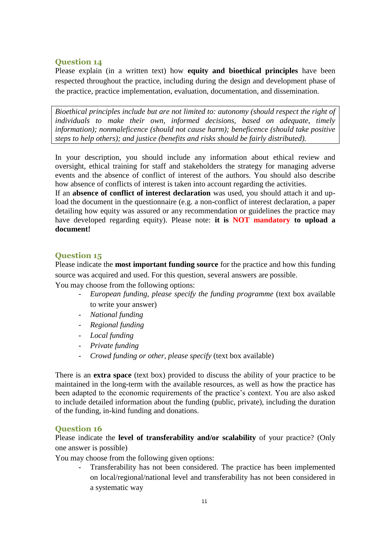#### **Question 14**

Please explain (in a written text) how **equity and bioethical principles** have been respected throughout the practice, including during the design and development phase of the practice, practice implementation, evaluation, documentation, and dissemination.

*Bioethical principles include but are not limited to: autonomy (should respect the right of individuals to make their own, informed decisions, based on adequate, timely information); nonmaleficence (should not cause harm); beneficence (should take positive steps to help others); and justice (benefits and risks should be fairly distributed).*

In your description, you should include any information about ethical review and oversight, ethical training for staff and stakeholders the strategy for managing adverse events and the absence of conflict of interest of the authors. You should also describe how absence of conflicts of interest is taken into account regarding the activities.

If an **absence of conflict of interest declaration** was used, you should attach it and upload the document in the questionnaire (e.g. a non-conflict of interest declaration, a paper detailing how equity was assured or any recommendation or guidelines the practice may have developed regarding equity). Please note: **it is NOT mandatory to upload a document!**

#### **Question 15**

Please indicate the **most important funding source** for the practice and how this funding source was acquired and used. For this question, several answers are possible.

You may choose from the following options:

- *European funding, please specify the funding programme* (text box available to write your answer)
- *National funding*
- *Regional funding*
- *Local funding*
- *Private funding*
- *Crowd funding or other, please specify* (text box available)

There is an **extra space** (text box) provided to discuss the ability of your practice to be maintained in the long-term with the available resources, as well as how the practice has been adapted to the economic requirements of the practice's context. You are also asked to include detailed information about the funding (public, private), including the duration of the funding, in-kind funding and donations.

#### **Question 16**

Please indicate the **level of transferability and/or scalability** of your practice? (Only one answer is possible)

You may choose from the following given options:

- Transferability has not been considered. The practice has been implemented on local/regional/national level and transferability has not been considered in a systematic way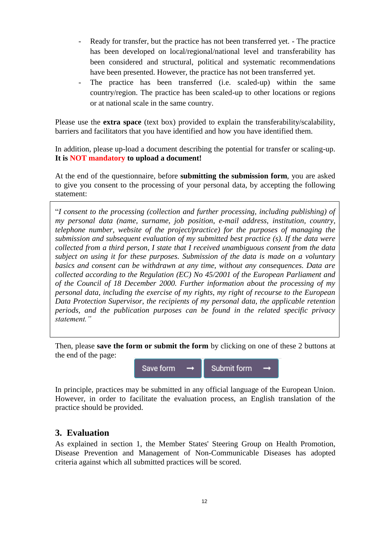- Ready for transfer, but the practice has not been transferred yet. The practice has been developed on local/regional/national level and transferability has been considered and structural, political and systematic recommendations have been presented. However, the practice has not been transferred yet.
- The practice has been transferred (i.e. scaled-up) within the same country/region. The practice has been scaled-up to other locations or regions or at national scale in the same country.

Please use the **extra space** (text box) provided to explain the transferability/scalability, barriers and facilitators that you have identified and how you have identified them.

In addition, please up-load a document describing the potential for transfer or scaling-up. **It is NOT mandatory to upload a document!**

At the end of the questionnaire, before **submitting the submission form**, you are asked to give you consent to the processing of your personal data, by accepting the following statement:

"*I consent to the processing (collection and further processing, including publishing) of my personal data (name, surname, job position, e-mail address, institution, country, telephone number, website of the project/practice) for the purposes of managing the submission and subsequent evaluation of my submitted best practice (s). If the data were collected from a third person, I state that I received unambiguous consent from the data subject on using it for these purposes. Submission of the data is made on a voluntary basics and consent can be withdrawn at any time, without any consequences. Data are collected according to the Regulation (EC) No 45/2001 of the European Parliament and of the Council of 18 December 2000. Further information about the processing of my personal data, including the exercise of my rights, my right of recourse to the European Data Protection Supervisor, the recipients of my personal data, the applicable retention periods, and the publication purposes can be found in the related specific privacy statement."*

Then, please **save the form or submit the form** by clicking on one of these 2 buttons at the end of the page:



In principle, practices may be submitted in any official language of the European Union. However, in order to facilitate the evaluation process, an English translation of the practice should be provided.

# <span id="page-11-0"></span>**3. Evaluation**

As explained in section 1, the Member States' Steering Group on Health Promotion, Disease Prevention and Management of Non-Communicable Diseases has adopted criteria against which all submitted practices will be scored.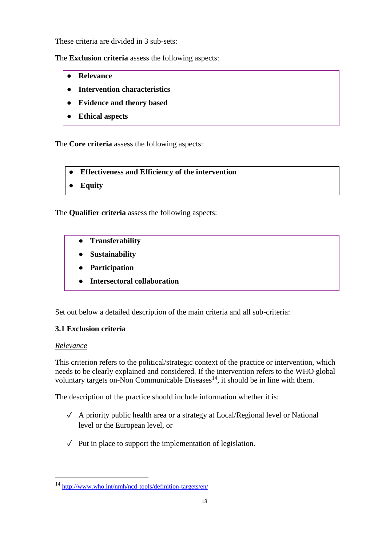These criteria are divided in 3 sub-sets:

The **Exclusion criteria** assess the following aspects:

- **Relevance**
- **Intervention characteristics**
- **Evidence and theory based**
- **Ethical aspects**

The **Core criteria** assess the following aspects:

- **Effectiveness and Efficiency of the intervention**
- **Equity**

The **Qualifier criteria** assess the following aspects:

- **Transferability**
- **Sustainability**
- **Participation**
- **Intersectoral collaboration**

Set out below a detailed description of the main criteria and all sub-criteria:

### <span id="page-12-0"></span>**3.1 Exclusion criteria**

#### <span id="page-12-1"></span>*Relevance*

1

This criterion refers to the political/strategic context of the practice or intervention, which needs to be clearly explained and considered. If the intervention refers to the WHO global voluntary targets on-Non Communicable Diseases<sup>14</sup>, it should be in line with them.

The description of the practice should include information whether it is:

- ✓ A priority public health area or a strategy at Local/Regional level or National level or the European level, or
- $\sqrt{\phantom{a}}$  Put in place to support the implementation of legislation.

<sup>14</sup> <http://www.who.int/nmh/ncd-tools/definition-targets/en/>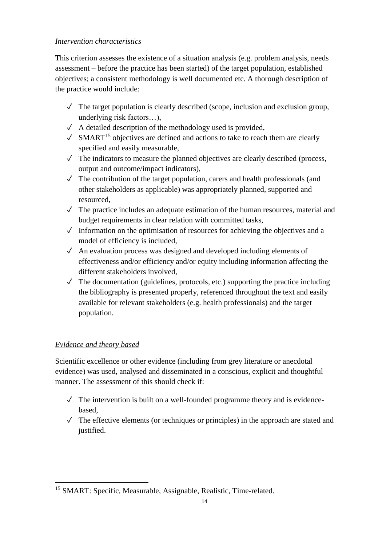## <span id="page-13-0"></span>*Intervention characteristics*

This criterion assesses the existence of a situation analysis (e.g. problem analysis, needs assessment – before the practice has been started) of the target population, established objectives; a consistent methodology is well documented etc. A thorough description of the practice would include:

- $\checkmark$  The target population is clearly described (scope, inclusion and exclusion group, underlying risk factors…),
- $\sqrt{\phantom{a}}$  A detailed description of the methodology used is provided,
- $\sqrt{\frac{15}{15}}$  objectives are defined and actions to take to reach them are clearly specified and easily measurable,
- $\checkmark$  The indicators to measure the planned objectives are clearly described (process, output and outcome/impact indicators),
- $\sqrt{\phantom{a}}$  The contribution of the target population, carers and health professionals (and other stakeholders as applicable) was appropriately planned, supported and resourced,
- $\sqrt{\ }$  The practice includes an adequate estimation of the human resources, material and budget requirements in clear relation with committed tasks,
- $\sqrt{\phantom{a}}$  Information on the optimisation of resources for achieving the objectives and a model of efficiency is included,
- $\sqrt{\phantom{a}}$  An evaluation process was designed and developed including elements of effectiveness and/or efficiency and/or equity including information affecting the different stakeholders involved,
- $\checkmark$  The documentation (guidelines, protocols, etc.) supporting the practice including the bibliography is presented properly, referenced throughout the text and easily available for relevant stakeholders (e.g. health professionals) and the target population.

# <span id="page-13-1"></span>*Evidence and theory based*

Scientific excellence or other evidence (including from grey literature or anecdotal evidence) was used, analysed and disseminated in a conscious, explicit and thoughtful manner. The assessment of this should check if:

- $\sqrt{\phantom{a}}$  The intervention is built on a well-founded programme theory and is evidencebased,
- $\sqrt{\phantom{a}}$  The effective elements (or techniques or principles) in the approach are stated and justified.

<sup>1</sup> <sup>15</sup> SMART: Specific, Measurable, Assignable, Realistic, Time-related.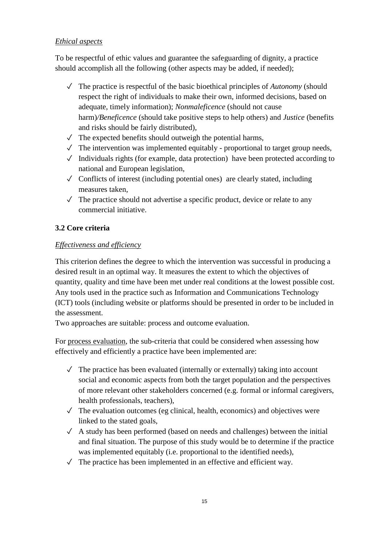## <span id="page-14-0"></span>*Ethical aspects*

To be respectful of ethic values and guarantee the safeguarding of dignity, a practice should accomplish all the following (other aspects may be added, if needed);

- ✓ The practice is respectful of the basic bioethical principles of *Autonomy* (should respect the right of individuals to make their own, informed decisions, based on adequate, timely information); *Nonmaleficence* (should not cause harm)*/Beneficence* (should take positive steps to help others) and *Justice* (benefits and risks should be fairly distributed),
- $\sqrt{\phantom{a}}$  The expected benefits should outweigh the potential harms,
- $\checkmark$  The intervention was implemented equitably proportional to target group needs,
- $\sqrt{\phantom{a}}$  Individuals rights (for example, data protection) have been protected according to national and European legislation,
- $\sqrt{\frac{1}{\sqrt{\pi}}}$  Conflicts of interest (including potential ones) are clearly stated, including measures taken,
- $\sqrt{\phantom{a}}$  The practice should not advertise a specific product, device or relate to any commercial initiative.

## <span id="page-14-1"></span>**3.2 Core criteria**

### <span id="page-14-2"></span>*Effectiveness and efficiency*

This criterion defines the degree to which the intervention was successful in producing a desired result in an optimal way. It measures the extent to which the objectives of quantity, quality and time have been met under real conditions at the lowest possible cost. Any tools used in the practice such as Information and Communications Technology (ICT) tools (including website or platforms should be presented in order to be included in the assessment.

Two approaches are suitable: process and outcome evaluation.

For process evaluation, the sub-criteria that could be considered when assessing how effectively and efficiently a practice have been implemented are:

- $\sqrt{\phantom{a}}$  The practice has been evaluated (internally or externally) taking into account social and economic aspects from both the target population and the perspectives of more relevant other stakeholders concerned (e.g. formal or informal caregivers, health professionals, teachers),
- $\checkmark$  The evaluation outcomes (eg clinical, health, economics) and objectives were linked to the stated goals,
- $\sqrt{\phantom{a}}$  A study has been performed (based on needs and challenges) between the initial and final situation. The purpose of this study would be to determine if the practice was implemented equitably (i.e. proportional to the identified needs),
- $\sqrt{\phantom{a}}$  The practice has been implemented in an effective and efficient way.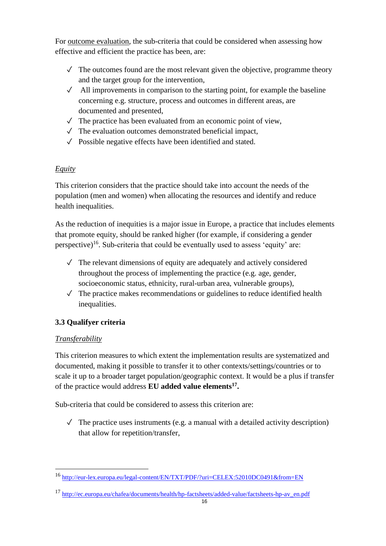For outcome evaluation, the sub-criteria that could be considered when assessing how effective and efficient the practice has been, are:

- $\sqrt{\ }$  The outcomes found are the most relevant given the objective, programme theory and the target group for the intervention,
- $\sqrt{\phantom{a}}$  All improvements in comparison to the starting point, for example the baseline concerning e.g. structure, process and outcomes in different areas, are documented and presented,
- $\sqrt{\phantom{a}}$  The practice has been evaluated from an economic point of view.
- $\sqrt{\phantom{a}}$  The evaluation outcomes demonstrated beneficial impact,
- $\sqrt{\ }$  Possible negative effects have been identified and stated.

# <span id="page-15-0"></span>*Equity*

This criterion considers that the practice should take into account the needs of the population (men and women) when allocating the resources and identify and reduce health inequalities.

As the reduction of inequities is a major issue in Europe, a practice that includes elements that promote equity, should be ranked higher (for example, if considering a gender perspective)<sup>16</sup>. Sub-criteria that could be eventually used to assess 'equity' are:

- $\sqrt{\phantom{a}}$  The relevant dimensions of equity are adequately and actively considered throughout the process of implementing the practice (e.g. age, gender, socioeconomic status, ethnicity, rural-urban area, vulnerable groups),
- $\sqrt{\phantom{a}}$  The practice makes recommendations or guidelines to reduce identified health inequalities.

# <span id="page-15-1"></span>**3.3 Qualifyer criteria**

# <span id="page-15-2"></span>*Transferability*

1

This criterion measures to which extent the implementation results are systematized and documented, making it possible to transfer it to other contexts/settings/countries or to scale it up to a broader target population/geographic context. It would be a plus if transfer of the practice would address **EU added value elements<sup>17</sup> .** 

Sub-criteria that could be considered to assess this criterion are:

 $\checkmark$  The practice uses instruments (e.g. a manual with a detailed activity description) that allow for repetition/transfer,

<sup>16</sup> <http://eur-lex.europa.eu/legal-content/EN/TXT/PDF/?uri=CELEX:52010DC0491&from=EN>

<sup>17</sup> [http://ec.europa.eu/chafea/documents/health/hp-factsheets/added-value/factsheets-hp-av\\_en.pdf](http://ec.europa.eu/chafea/documents/health/hp-factsheets/added-value/factsheets-hp-av_en.pdf)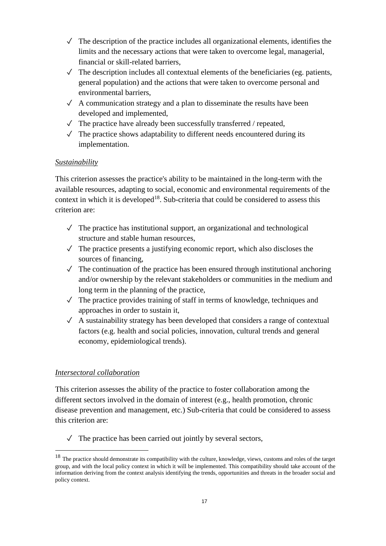- $\checkmark$  The description of the practice includes all organizational elements, identifies the limits and the necessary actions that were taken to overcome legal, managerial, financial or skill-related barriers,
- $\checkmark$  The description includes all contextual elements of the beneficiaries (eg. patients, general population) and the actions that were taken to overcome personal and environmental barriers,
- $\sqrt{\phantom{a}}$  A communication strategy and a plan to disseminate the results have been developed and implemented,
- $\checkmark$  The practice have already been successfully transferred / repeated,
- $\sqrt{\ }$  The practice shows adaptability to different needs encountered during its implementation.

## <span id="page-16-0"></span>*Sustainability*

This criterion assesses the practice's ability to be maintained in the long-term with the available resources, adapting to social, economic and environmental requirements of the context in which it is developed<sup>18</sup>. Sub-criteria that could be considered to assess this criterion are:

- $\sqrt{\phantom{a}}$  The practice has institutional support, an organizational and technological structure and stable human resources,
- $\sqrt{\phantom{a}}$  The practice presents a justifying economic report, which also discloses the sources of financing,
- $\checkmark$  The continuation of the practice has been ensured through institutional anchoring and/or ownership by the relevant stakeholders or communities in the medium and long term in the planning of the practice,
- $\sqrt{\ }$  The practice provides training of staff in terms of knowledge, techniques and approaches in order to sustain it,
- $\checkmark$  A sustainability strategy has been developed that considers a range of contextual factors (e.g. health and social policies, innovation, cultural trends and general economy, epidemiological trends).

### <span id="page-16-1"></span>*Intersectoral collaboration*

<u>.</u>

This criterion assesses the ability of the practice to foster collaboration among the different sectors involved in the domain of interest (e.g., health promotion, chronic disease prevention and management, etc.) Sub-criteria that could be considered to assess this criterion are:

 $\sqrt{\ }$  The practice has been carried out jointly by several sectors,

<sup>&</sup>lt;sup>18</sup> The practice should demonstrate its compatibility with the culture, knowledge, views, customs and roles of the target group, and with the local policy context in which it will be implemented. This compatibility should take account of the information deriving from the context analysis identifying the trends, opportunities and threats in the broader social and policy context.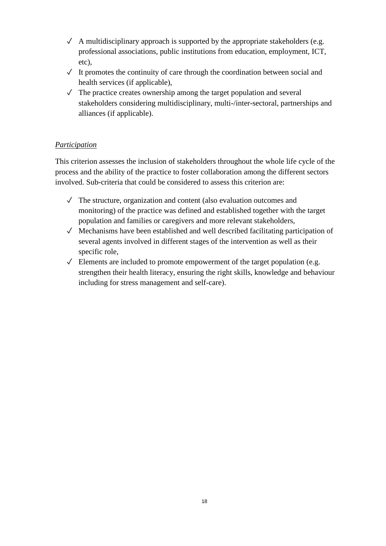- $\checkmark$  A multidisciplinary approach is supported by the appropriate stakeholders (e.g. professional associations, public institutions from education, employment, ICT, etc),
- $\checkmark$  It promotes the continuity of care through the coordination between social and health services (if applicable),
- $\sqrt{\ }$  The practice creates ownership among the target population and several stakeholders considering multidisciplinary, multi-/inter-sectoral, partnerships and alliances (if applicable).

## <span id="page-17-0"></span>*Participation*

This criterion assesses the inclusion of stakeholders throughout the whole life cycle of the process and the ability of the practice to foster collaboration among the different sectors involved. Sub-criteria that could be considered to assess this criterion are:

- $\sqrt{\phantom{a}}$  The structure, organization and content (also evaluation outcomes and monitoring) of the practice was defined and established together with the target population and families or caregivers and more relevant stakeholders,
- $\sqrt{\ }$  Mechanisms have been established and well described facilitating participation of several agents involved in different stages of the intervention as well as their specific role,
- $\sqrt{\phantom{a}}$  Elements are included to promote empowerment of the target population (e.g. strengthen their health literacy, ensuring the right skills, knowledge and behaviour including for stress management and self-care).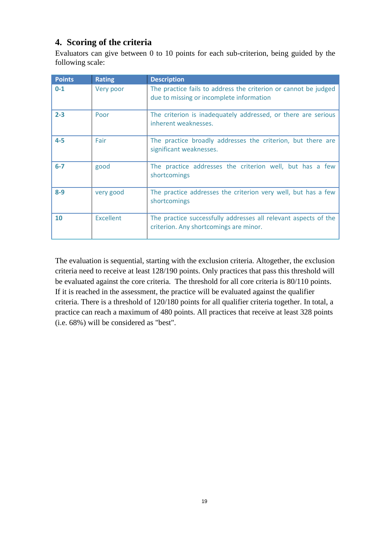# <span id="page-18-0"></span>**4. Scoring of the criteria**

Evaluators can give between 0 to 10 points for each sub-criterion, being guided by the following scale:

| <b>Points</b> | <b>Rating</b>    | <b>Description</b>                                                                                          |
|---------------|------------------|-------------------------------------------------------------------------------------------------------------|
| $0 - 1$       | Very poor        | The practice fails to address the criterion or cannot be judged<br>due to missing or incomplete information |
| $2 - 3$       | Poor             | The criterion is inadequately addressed, or there are serious<br>inherent weaknesses.                       |
| $4 - 5$       | Fair             | The practice broadly addresses the criterion, but there are<br>significant weaknesses.                      |
| $6-7$         | good             | The practice addresses the criterion well, but has a few<br>shortcomings                                    |
| $8 - 9$       | very good        | The practice addresses the criterion very well, but has a few<br>shortcomings                               |
| 10            | <b>Excellent</b> | The practice successfully addresses all relevant aspects of the<br>criterion. Any shortcomings are minor.   |

The evaluation is sequential, starting with the exclusion criteria. Altogether, the exclusion criteria need to receive at least 128/190 points. Only practices that pass this threshold will be evaluated against the core criteria. The threshold for all core criteria is 80/110 points. If it is reached in the assessment, the practice will be evaluated against the qualifier criteria. There is a threshold of 120/180 points for all qualifier criteria together. In total, a practice can reach a maximum of 480 points. All practices that receive at least 328 points (i.e. 68%) will be considered as "best".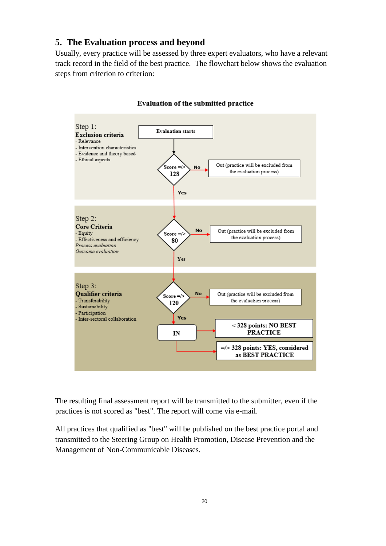## <span id="page-19-0"></span>**5. The Evaluation process and beyond**

Usually, every practice will be assessed by three expert evaluators, who have a relevant track record in the field of the best practice. The flowchart below shows the evaluation steps from criterion to criterion:



#### Evaluation of the submitted practice

The resulting final assessment report will be transmitted to the submitter, even if the practices is not scored as "best". The report will come via e-mail.

All practices that qualified as "best" will be published on the best practice portal and transmitted to the Steering Group on Health Promotion, Disease Prevention and the Management of Non-Communicable Diseases.